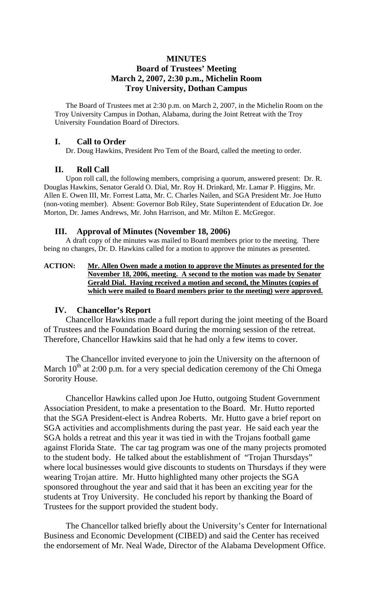## **MINUTES Board of Trustees' Meeting March 2, 2007, 2:30 p.m., Michelin Room Troy University, Dothan Campus**

The Board of Trustees met at 2:30 p.m. on March 2, 2007, in the Michelin Room on the Troy University Campus in Dothan, Alabama, during the Joint Retreat with the Troy University Foundation Board of Directors.

#### **I. Call to Order**

Dr. Doug Hawkins, President Pro Tem of the Board, called the meeting to order.

### **II. Roll Call**

Upon roll call, the following members, comprising a quorum, answered present: Dr. R. Douglas Hawkins, Senator Gerald O. Dial, Mr. Roy H. Drinkard, Mr. Lamar P. Higgins, Mr. Allen E. Owen III, Mr. Forrest Latta, Mr. C. Charles Nailen, and SGA President Mr. Joe Hutto (non-voting member). Absent: Governor Bob Riley, State Superintendent of Education Dr. Joe Morton, Dr. James Andrews, Mr. John Harrison, and Mr. Milton E. McGregor.

#### **III. Approval of Minutes (November 18, 2006)**

A draft copy of the minutes was mailed to Board members prior to the meeting. There being no changes, Dr. D. Hawkins called for a motion to approve the minutes as presented.

#### **ACTION: Mr. Allen Owen made a motion to approve the Minutes as presented for the November 18, 2006, meeting. A second to the motion was made by Senator Gerald Dial. Having received a motion and second, the Minutes (copies of which were mailed to Board members prior to the meeting) were approved.**

### **IV. Chancellor's Report**

Chancellor Hawkins made a full report during the joint meeting of the Board of Trustees and the Foundation Board during the morning session of the retreat. Therefore, Chancellor Hawkins said that he had only a few items to cover.

The Chancellor invited everyone to join the University on the afternoon of March  $10^{th}$  at 2:00 p.m. for a very special dedication ceremony of the Chi Omega Sorority House.

Chancellor Hawkins called upon Joe Hutto, outgoing Student Government Association President, to make a presentation to the Board. Mr. Hutto reported that the SGA President-elect is Andrea Roberts. Mr. Hutto gave a brief report on SGA activities and accomplishments during the past year. He said each year the SGA holds a retreat and this year it was tied in with the Trojans football game against Florida State. The car tag program was one of the many projects promoted to the student body. He talked about the establishment of "Trojan Thursdays" where local businesses would give discounts to students on Thursdays if they were wearing Trojan attire. Mr. Hutto highlighted many other projects the SGA sponsored throughout the year and said that it has been an exciting year for the students at Troy University. He concluded his report by thanking the Board of Trustees for the support provided the student body.

 The Chancellor talked briefly about the University's Center for International Business and Economic Development (CIBED) and said the Center has received the endorsement of Mr. Neal Wade, Director of the Alabama Development Office.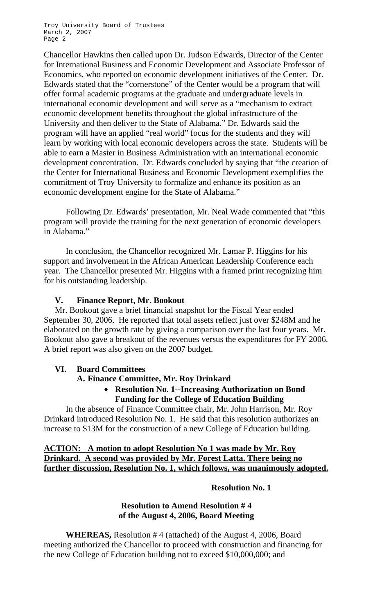Chancellor Hawkins then called upon Dr. Judson Edwards, Director of the Center for International Business and Economic Development and Associate Professor of Economics, who reported on economic development initiatives of the Center. Dr. Edwards stated that the "cornerstone" of the Center would be a program that will offer formal academic programs at the graduate and undergraduate levels in international economic development and will serve as a "mechanism to extract economic development benefits throughout the global infrastructure of the University and then deliver to the State of Alabama." Dr. Edwards said the program will have an applied "real world" focus for the students and they will learn by working with local economic developers across the state. Students will be able to earn a Master in Business Administration with an international economic development concentration. Dr. Edwards concluded by saying that "the creation of the Center for International Business and Economic Development exemplifies the commitment of Troy University to formalize and enhance its position as an economic development engine for the State of Alabama."

 Following Dr. Edwards' presentation, Mr. Neal Wade commented that "this program will provide the training for the next generation of economic developers in Alabama."

 In conclusion, the Chancellor recognized Mr. Lamar P. Higgins for his support and involvement in the African American Leadership Conference each year. The Chancellor presented Mr. Higgins with a framed print recognizing him for his outstanding leadership.

## **V. Finance Report, Mr. Bookout**

Mr. Bookout gave a brief financial snapshot for the Fiscal Year ended September 30, 2006. He reported that total assets reflect just over \$248M and he elaborated on the growth rate by giving a comparison over the last four years. Mr. Bookout also gave a breakout of the revenues versus the expenditures for FY 2006. A brief report was also given on the 2007 budget.

### **VI. Board Committees**

### **A. Finance Committee, Mr. Roy Drinkard**

## • **Resolution No. 1--Increasing Authorization on Bond Funding for the College of Education Building**

In the absence of Finance Committee chair, Mr. John Harrison, Mr. Roy Drinkard introduced Resolution No. 1. He said that this resolution authorizes an increase to \$13M for the construction of a new College of Education building.

# **ACTION: A motion to adopt Resolution No 1 was made by Mr. Roy Drinkard. A second was provided by Mr. Forest Latta. There being no further discussion, Resolution No. 1, which follows, was unanimously adopted.**

## **Resolution No. 1**

## **Resolution to Amend Resolution # 4 of the August 4, 2006, Board Meeting**

**WHEREAS,** Resolution # 4 (attached) of the August 4, 2006, Board meeting authorized the Chancellor to proceed with construction and financing for the new College of Education building not to exceed \$10,000,000; and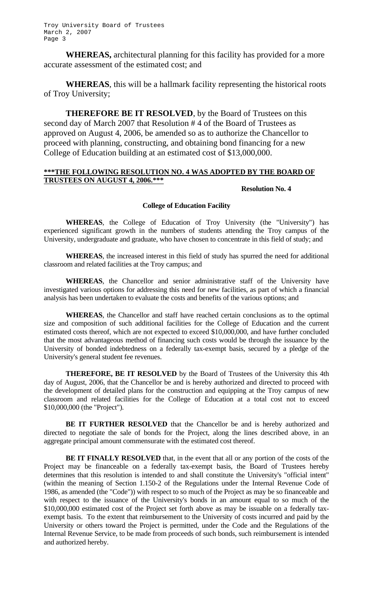**WHEREAS,** architectural planning for this facility has provided for a more accurate assessment of the estimated cost; and

**WHEREAS**, this will be a hallmark facility representing the historical roots of Troy University;

**THEREFORE BE IT RESOLVED**, by the Board of Trustees on this second day of March 2007 that Resolution # 4 of the Board of Trustees as approved on August 4, 2006, be amended so as to authorize the Chancellor to proceed with planning, constructing, and obtaining bond financing for a new College of Education building at an estimated cost of \$13,000,000.

#### **\*\*\*THE FOLLOWING RESOLUTION NO. 4 WAS ADOPTED BY THE BOARD OF TRUSTEES ON AUGUST 4, 2006.\*\*\***

#### **Resolution No. 4**

#### **College of Education Facility**

 **WHEREAS**, the College of Education of Troy University (the "University") has experienced significant growth in the numbers of students attending the Troy campus of the University, undergraduate and graduate, who have chosen to concentrate in this field of study; and

 **WHEREAS**, the increased interest in this field of study has spurred the need for additional classroom and related facilities at the Troy campus; and

 **WHEREAS**, the Chancellor and senior administrative staff of the University have investigated various options for addressing this need for new facilities, as part of which a financial analysis has been undertaken to evaluate the costs and benefits of the various options; and

 **WHEREAS**, the Chancellor and staff have reached certain conclusions as to the optimal size and composition of such additional facilities for the College of Education and the current estimated costs thereof, which are not expected to exceed \$10,000,000, and have further concluded that the most advantageous method of financing such costs would be through the issuance by the University of bonded indebtedness on a federally tax-exempt basis, secured by a pledge of the University's general student fee revenues.

 **THEREFORE, BE IT RESOLVED** by the Board of Trustees of the University this 4th day of August, 2006, that the Chancellor be and is hereby authorized and directed to proceed with the development of detailed plans for the construction and equipping at the Troy campus of new classroom and related facilities for the College of Education at a total cost not to exceed \$10,000,000 (the "Project").

 **BE IT FURTHER RESOLVED** that the Chancellor be and is hereby authorized and directed to negotiate the sale of bonds for the Project, along the lines described above, in an aggregate principal amount commensurate with the estimated cost thereof.

 **BE IT FINALLY RESOLVED** that, in the event that all or any portion of the costs of the Project may be financeable on a federally tax-exempt basis, the Board of Trustees hereby determines that this resolution is intended to and shall constitute the University's "official intent" (within the meaning of Section 1.150-2 of the Regulations under the Internal Revenue Code of 1986, as amended (the "Code")) with respect to so much of the Project as may be so financeable and with respect to the issuance of the University's bonds in an amount equal to so much of the \$10,000,000 estimated cost of the Project set forth above as may be issuable on a federally taxexempt basis. To the extent that reimbursement to the University of costs incurred and paid by the University or others toward the Project is permitted, under the Code and the Regulations of the Internal Revenue Service, to be made from proceeds of such bonds, such reimbursement is intended and authorized hereby.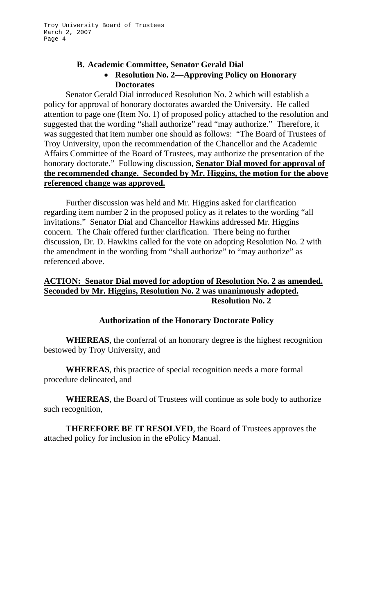## **B. Academic Committee, Senator Gerald Dial**  • **Resolution No. 2—Approving Policy on Honorary Doctorates**

Senator Gerald Dial introduced Resolution No. 2 which will establish a policy for approval of honorary doctorates awarded the University. He called attention to page one (Item No. 1) of proposed policy attached to the resolution and suggested that the wording "shall authorize" read "may authorize." Therefore, it was suggested that item number one should as follows: "The Board of Trustees of Troy University, upon the recommendation of the Chancellor and the Academic Affairs Committee of the Board of Trustees, may authorize the presentation of the honorary doctorate." Following discussion, **Senator Dial moved for approval of the recommended change. Seconded by Mr. Higgins, the motion for the above referenced change was approved.**

 Further discussion was held and Mr. Higgins asked for clarification regarding item number 2 in the proposed policy as it relates to the wording "all invitations." Senator Dial and Chancellor Hawkins addressed Mr. Higgins concern. The Chair offered further clarification. There being no further discussion, Dr. D. Hawkins called for the vote on adopting Resolution No. 2 with the amendment in the wording from "shall authorize" to "may authorize" as referenced above.

# **ACTION: Senator Dial moved for adoption of Resolution No. 2 as amended. Seconded by Mr. Higgins, Resolution No. 2 was unanimously adopted. Resolution No. 2**

## **Authorization of the Honorary Doctorate Policy**

**WHEREAS**, the conferral of an honorary degree is the highest recognition bestowed by Troy University, and

**WHEREAS**, this practice of special recognition needs a more formal procedure delineated, and

**WHEREAS**, the Board of Trustees will continue as sole body to authorize such recognition,

**THEREFORE BE IT RESOLVED**, the Board of Trustees approves the attached policy for inclusion in the ePolicy Manual.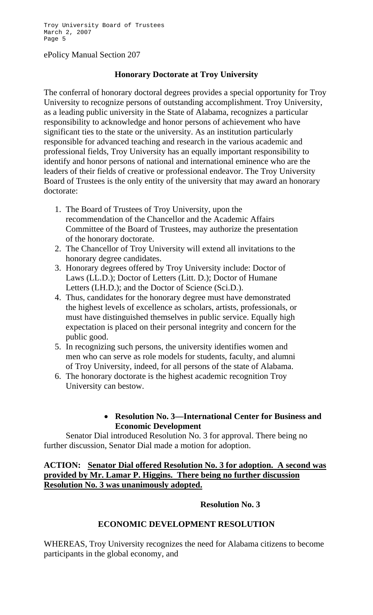### ePolicy Manual Section 207

# **Honorary Doctorate at Troy University**

The conferral of honorary doctoral degrees provides a special opportunity for Troy University to recognize persons of outstanding accomplishment. Troy University, as a leading public university in the State of Alabama, recognizes a particular responsibility to acknowledge and honor persons of achievement who have significant ties to the state or the university. As an institution particularly responsible for advanced teaching and research in the various academic and professional fields, Troy University has an equally important responsibility to identify and honor persons of national and international eminence who are the leaders of their fields of creative or professional endeavor. The Troy University Board of Trustees is the only entity of the university that may award an honorary doctorate:

- 1. The Board of Trustees of Troy University, upon the recommendation of the Chancellor and the Academic Affairs Committee of the Board of Trustees, may authorize the presentation of the honorary doctorate.
- 2. The Chancellor of Troy University will extend all invitations to the honorary degree candidates.
- 3. Honorary degrees offered by Troy University include: Doctor of Laws (LL.D.); Doctor of Letters (Litt. D.); Doctor of Humane Letters (LH.D.); and the Doctor of Science (Sci.D.).
- 4. Thus, candidates for the honorary degree must have demonstrated the highest levels of excellence as scholars, artists, professionals, or must have distinguished themselves in public service. Equally high expectation is placed on their personal integrity and concern for the public good.
- 5. In recognizing such persons, the university identifies women and men who can serve as role models for students, faculty, and alumni of Troy University, indeed, for all persons of the state of Alabama.
- 6. The honorary doctorate is the highest academic recognition Troy University can bestow.

# • **Resolution No. 3—International Center for Business and Economic Development**

Senator Dial introduced Resolution No. 3 for approval. There being no further discussion, Senator Dial made a motion for adoption.

# **ACTION: Senator Dial offered Resolution No. 3 for adoption. A second was provided by Mr. Lamar P. Higgins. There being no further discussion Resolution No. 3 was unanimously adopted.**

## **Resolution No. 3**

## **ECONOMIC DEVELOPMENT RESOLUTION**

WHEREAS, Troy University recognizes the need for Alabama citizens to become participants in the global economy, and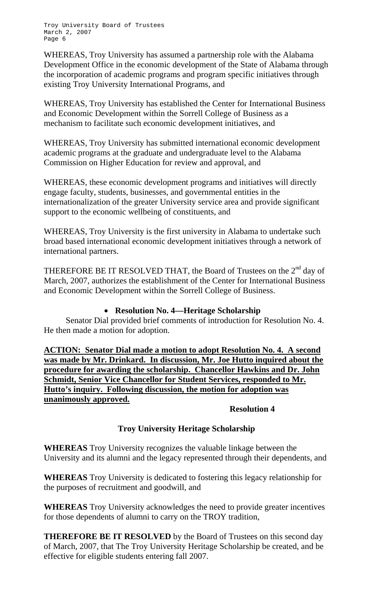WHEREAS, Troy University has assumed a partnership role with the Alabama Development Office in the economic development of the State of Alabama through the incorporation of academic programs and program specific initiatives through existing Troy University International Programs, and

WHEREAS, Troy University has established the Center for International Business and Economic Development within the Sorrell College of Business as a mechanism to facilitate such economic development initiatives, and

WHEREAS, Troy University has submitted international economic development academic programs at the graduate and undergraduate level to the Alabama Commission on Higher Education for review and approval, and

WHEREAS, these economic development programs and initiatives will directly engage faculty, students, businesses, and governmental entities in the internationalization of the greater University service area and provide significant support to the economic wellbeing of constituents, and

WHEREAS, Troy University is the first university in Alabama to undertake such broad based international economic development initiatives through a network of international partners.

THEREFORE BE IT RESOLVED THAT, the Board of Trustees on the 2<sup>nd</sup> day of March, 2007, authorizes the establishment of the Center for International Business and Economic Development within the Sorrell College of Business.

# • **Resolution No. 4—Heritage Scholarship**

Senator Dial provided brief comments of introduction for Resolution No. 4. He then made a motion for adoption.

**ACTION: Senator Dial made a motion to adopt Resolution No. 4. A second was made by Mr. Drinkard. In discussion, Mr. Joe Hutto inquired about the procedure for awarding the scholarship. Chancellor Hawkins and Dr. John Schmidt, Senior Vice Chancellor for Student Services, responded to Mr. Hutto's inquiry. Following discussion, the motion for adoption was unanimously approved.**

# **Resolution 4**

# **Troy University Heritage Scholarship**

**WHEREAS** Troy University recognizes the valuable linkage between the University and its alumni and the legacy represented through their dependents, and

**WHEREAS** Troy University is dedicated to fostering this legacy relationship for the purposes of recruitment and goodwill, and

**WHEREAS** Troy University acknowledges the need to provide greater incentives for those dependents of alumni to carry on the TROY tradition,

**THEREFORE BE IT RESOLVED** by the Board of Trustees on this second day of March, 2007, that The Troy University Heritage Scholarship be created, and be effective for eligible students entering fall 2007.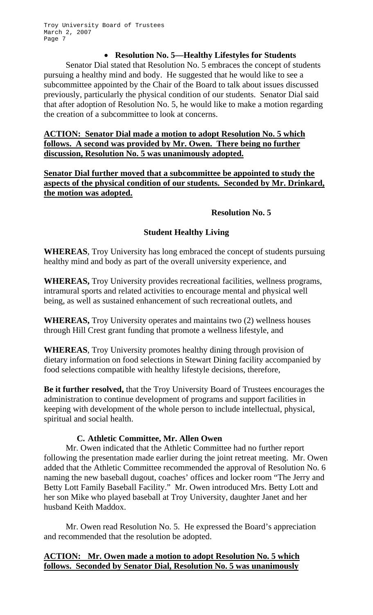# • **Resolution No. 5—Healthy Lifestyles for Students**

Senator Dial stated that Resolution No. 5 embraces the concept of students pursuing a healthy mind and body. He suggested that he would like to see a subcommittee appointed by the Chair of the Board to talk about issues discussed previously, particularly the physical condition of our students. Senator Dial said that after adoption of Resolution No. 5, he would like to make a motion regarding the creation of a subcommittee to look at concerns.

# **ACTION: Senator Dial made a motion to adopt Resolution No. 5 which follows. A second was provided by Mr. Owen. There being no further discussion, Resolution No. 5 was unanimously adopted.**

**Senator Dial further moved that a subcommittee be appointed to study the aspects of the physical condition of our students. Seconded by Mr. Drinkard, the motion was adopted.**

## **Resolution No. 5**

# **Student Healthy Living**

**WHEREAS**, Troy University has long embraced the concept of students pursuing healthy mind and body as part of the overall university experience, and

**WHEREAS,** Troy University provides recreational facilities, wellness programs, intramural sports and related activities to encourage mental and physical well being, as well as sustained enhancement of such recreational outlets, and

**WHEREAS,** Troy University operates and maintains two (2) wellness houses through Hill Crest grant funding that promote a wellness lifestyle, and

**WHEREAS**, Troy University promotes healthy dining through provision of dietary information on food selections in Stewart Dining facility accompanied by food selections compatible with healthy lifestyle decisions, therefore,

**Be it further resolved,** that the Troy University Board of Trustees encourages the administration to continue development of programs and support facilities in keeping with development of the whole person to include intellectual, physical, spiritual and social health.

# **C. Athletic Committee, Mr. Allen Owen**

Mr. Owen indicated that the Athletic Committee had no further report following the presentation made earlier during the joint retreat meeting. Mr. Owen added that the Athletic Committee recommended the approval of Resolution No. 6 naming the new baseball dugout, coaches' offices and locker room "The Jerry and Betty Lott Family Baseball Facility." Mr. Owen introduced Mrs. Betty Lott and her son Mike who played baseball at Troy University, daughter Janet and her husband Keith Maddox.

 Mr. Owen read Resolution No. 5. He expressed the Board's appreciation and recommended that the resolution be adopted.

# **ACTION: Mr. Owen made a motion to adopt Resolution No. 5 which follows. Seconded by Senator Dial, Resolution No. 5 was unanimously**